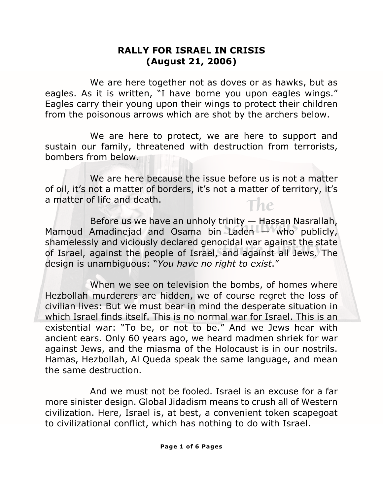## **RALLY FOR ISRAEL IN CRISIS (August 21, 2006)**

We are here together not as doves or as hawks, but as eagles. As it is written, "I have borne you upon eagles wings." Eagles carry their young upon their wings to protect their children from the poisonous arrows which are shot by the archers below.

We are here to protect, we are here to support and sustain our family, threatened with destruction from terrorists, bombers from below.

*The*  We are here because the issue before us is not a matter of oil, it's not a matter of borders, it's not a matter of territory, it's a matter of life and death.

*Schulweis* Mamoud Amadinejad and Osama bin Laden — who publicly, shamelessly and viciously declared genocidal war against the state<br>of Israel, against the people of Israel, and against all Jews. The Before us we have an unholy trinity — Hassan Nasrallah, shamelessly and viciously declared genocidal war against the state design is unambiguous: "*You have no right to exist*."

When we see on television the bombs, of homes where Hezbollah murderers are hidden, we of course regret the loss of civilian lives: But we must bear in mind the desperate situation in which Israel finds itself. This is no normal war for Israel. This is an existential war: "To be, or not to be." And we Jews hear with ancient ears. Only 60 years ago, we heard madmen shriek for war against Jews, and the miasma of the Holocaust is in our nostrils. Hamas, Hezbollah, Al Queda speak the same language, and mean the same destruction.

And we must not be fooled. Israel is an excuse for a far more sinister design. Global Jidadism means to crush all of Western civilization. Here, Israel is, at best, a convenient token scapegoat to civilizational conflict, which has nothing to do with Israel.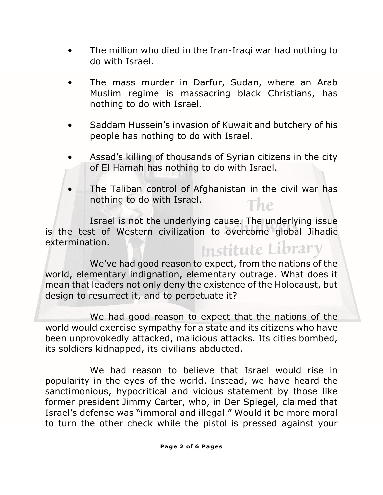- The million who died in the Iran-Iraqi war had nothing to do with Israel.
- The mass murder in Darfur, Sudan, where an Arab Muslim regime is massacring black Christians, has nothing to do with Israel.
- Saddam Hussein's invasion of Kuwait and butchery of his people has nothing to do with Israel.
- Assad's killing of thousands of Syrian citizens in the city of El Hamah has nothing to do with Israel.
- *The*  • The Taliban control of Afghanistan in the civil war has nothing to do with Israel.

*Schulweis* is the test of Western civilization to overcome global Jihadic *Institute Library* Israel is not the underlying cause. The underlying issue extermination.

We've had good reason to expect, from the nations of the world, elementary indignation, elementary outrage. What does it mean that leaders not only deny the existence of the Holocaust, but design to resurrect it, and to perpetuate it?

We had good reason to expect that the nations of the world would exercise sympathy for a state and its citizens who have been unprovokedly attacked, malicious attacks. Its cities bombed, its soldiers kidnapped, its civilians abducted.

We had reason to believe that Israel would rise in popularity in the eyes of the world. Instead, we have heard the sanctimonious, hypocritical and vicious statement by those like former president Jimmy Carter, who, in Der Spiegel, claimed that Israel's defense was "immoral and illegal." Would it be more moral to turn the other check while the pistol is pressed against your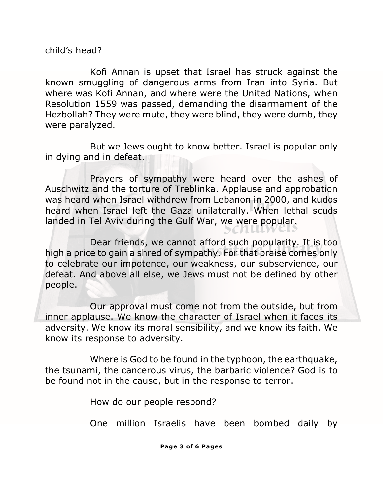child's head?

Kofi Annan is upset that Israel has struck against the known smuggling of dangerous arms from Iran into Syria. But where was Kofi Annan, and where were the United Nations, when Resolution 1559 was passed, demanding the disarmament of the Hezbollah? They were mute, they were blind, they were dumb, they were paralyzed.

But we Jews ought to know better. Israel is popular only in dying and in defeat.

was heard when Israel withdrew from Lebanon in 2000, and kudos<br>heard when Israel left the Gaza unilaterally, When Jethal scuds *Schulweis* landed in Tel Aviv during the Gulf War, we were popular. Prayers of sympathy were heard over the ashes of Auschwitz and the torture of Treblinka. Applause and approbation heard when Israel left the Gaza unilaterally. When lethal scuds

*Institute Library* high a price to gain a shred of sympathy. For that praise comes only Dear friends, we cannot afford such popularity. It is too to celebrate our impotence, our weakness, our subservience, our defeat. And above all else, we Jews must not be defined by other people.

Our approval must come not from the outside, but from inner applause. We know the character of Israel when it faces its adversity. We know its moral sensibility, and we know its faith. We know its response to adversity.

Where is God to be found in the typhoon, the earthquake, the tsunami, the cancerous virus, the barbaric violence? God is to be found not in the cause, but in the response to terror.

How do our people respond?

One million Israelis have been bombed daily by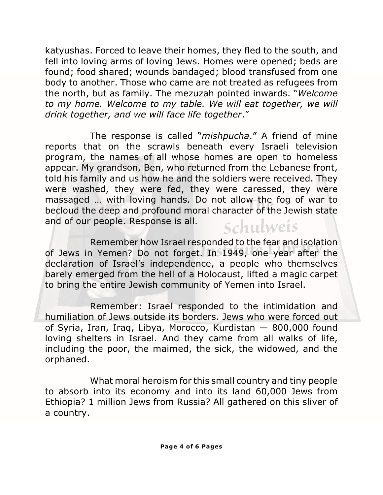katyushas. Forced to leave their homes, they fled to the south, and fell into loving arms of loving Jews. Homes were opened; beds are found; food shared; wounds bandaged; blood transfused from one body to another. Those who came are not treated as refugees from the north, but as family. The mezuzah pointed inwards. "*Welcome to my home. Welcome to my table. We will eat together, we will drink together, and we will face life together*."

massaged ... with loving hands. Do not allow the fog of war to<br>hecloud the deen and profound moral character of the Jewish state *Schulweis* The response is called "*mishpucha*." A friend of mine reports that on the scrawls beneath every Israeli television program, the names of all whose homes are open to homeless appear. My grandson, Ben, who returned from the Lebanese front, told his family and us how he and the soldiers were received. They were washed, they were fed, they were caressed, they were becloud the deep and profound moral character of the Jewish state and of our people. Response is all.

*Institute Library* of Jews in Yemen? Do not forget. In 1949, one year after the Remember how Israel responded to the fear and isolation declaration of Israel's independence, a people who themselves barely emerged from the hell of a Holocaust, lifted a magic carpet to bring the entire Jewish community of Yemen into Israel.

Remember: Israel responded to the intimidation and humiliation of Jews outside its borders. Jews who were forced out of Syria, Iran, Iraq, Libya, Morocco, Kurdistan — 800,000 found loving shelters in Israel. And they came from all walks of life, including the poor, the maimed, the sick, the widowed, and the orphaned.

What moral heroism for this small country and tiny people to absorb into its economy and into its land 60,000 Jews from Ethiopia? 1 million Jews from Russia? All gathered on this sliver of a country.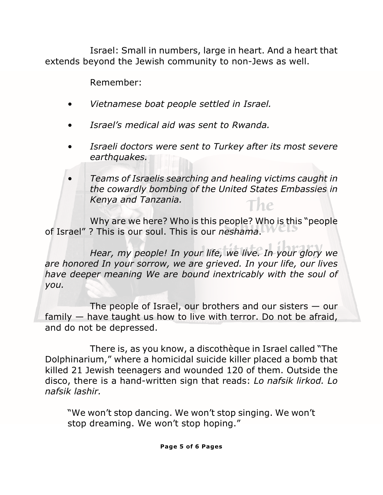Israel: Small in numbers, large in heart. And a heart that extends beyond the Jewish community to non-Jews as well.

Remember:

- *Vietnamese boat people settled in Israel.*
- *Israel's medical aid was sent to Rwanda.*
- *Israeli doctors were sent to Turkey after its most severe earthquakes.*
- *The*  • *Teams of Israelis searching and healing victims caught in the cowardly bombing of the United States Embassies in Kenya and Tanzania.*

Why are we here? Who is this people? Who is this "people<br>? This is our soul. This is our *neshama.* of Israel" ? This is our soul. This is our *neshama*.

*Institute Library Hear, my people! In your life, we live. In your glory we are honored In your sorrow, we are grieved. In your life, our lives have deeper meaning We are bound inextricably with the soul of you.*

The people of Israel, our brothers and our sisters  $-$  our family — have taught us how to live with terror. Do not be afraid, and do not be depressed.

There is, as you know, a discothèque in Israel called "The Dolphinarium," where a homicidal suicide killer placed a bomb that killed 21 Jewish teenagers and wounded 120 of them. Outside the disco, there is a hand-written sign that reads: *Lo nafsik lirkod. Lo nafsik lashir.*

"We won't stop dancing. We won't stop singing. We won't stop dreaming. We won't stop hoping."